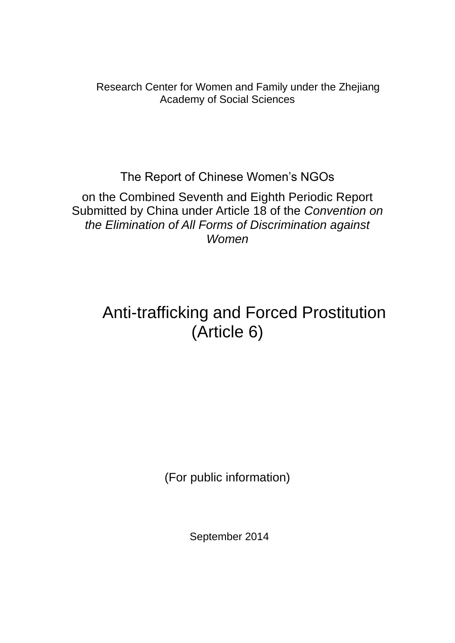Research Center for Women and Family under the Zhejiang Academy of Social Sciences

The Report of Chinese Women's NGOs

on the Combined Seventh and Eighth Periodic Report Submitted by China under Article 18 of the *Convention on the Elimination of All Forms of Discrimination against Women*

# Anti-trafficking and Forced Prostitution (Article 6)

(For public information)

September 2014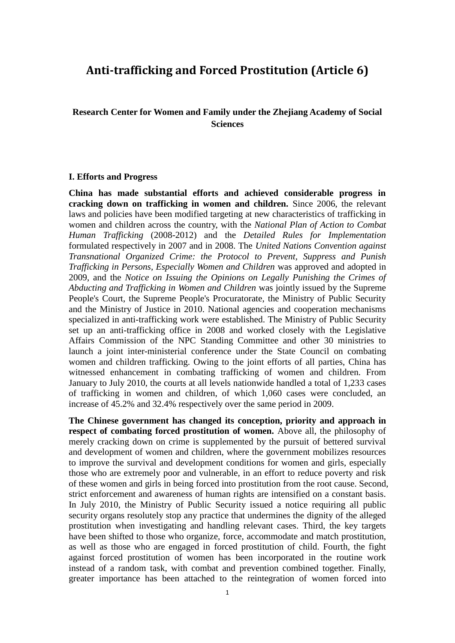### **Anti-trafficking and Forced Prostitution (Article 6)**

#### **Research Center for Women and Family under the Zhejiang Academy of Social Sciences**

#### **I. Efforts and Progress**

**China has made substantial efforts and achieved considerable progress in cracking down on trafficking in women and children.** Since 2006, the relevant laws and policies have been modified targeting at new characteristics of trafficking in women and children across the country, with the *National Plan of Action to Combat Human Trafficking* (2008-2012) and the *Detailed Rules for Implementation* formulated respectively in 2007 and in 2008. The *United Nations Convention against Transnational Organized Crime: the Protocol to Prevent, Suppress and Punish Trafficking in Persons, Especially Women and Children* was approved and adopted in 2009, and the *Notice on Issuing the Opinions on Legally Punishing the Crimes of Abducting and Trafficking in Women and Children* was jointly issued by the Supreme People's Court, the Supreme People's Procuratorate, the Ministry of Public Security and the Ministry of Justice in 2010. National agencies and cooperation mechanisms specialized in anti-trafficking work were established. The Ministry of Public Security set up an anti-trafficking office in 2008 and worked closely with the Legislative Affairs Commission of the NPC Standing Committee and other 30 ministries to launch a joint inter-ministerial conference under the State Council on combating women and children trafficking. Owing to the joint efforts of all parties, China has witnessed enhancement in combating trafficking of women and children. From January to July 2010, the courts at all levels nationwide handled a total of 1,233 cases of trafficking in women and children, of which 1,060 cases were concluded, an increase of 45.2% and 32.4% respectively over the same period in 2009.

**The Chinese government has changed its conception, priority and approach in respect of combating forced prostitution of women.** Above all, the philosophy of merely cracking down on crime is supplemented by the pursuit of bettered survival and development of women and children, where the government mobilizes resources to improve the survival and development conditions for women and girls, especially those who are extremely poor and vulnerable, in an effort to reduce poverty and risk of these women and girls in being forced into prostitution from the root cause. Second, strict enforcement and awareness of human rights are intensified on a constant basis. In July 2010, the Ministry of Public Security issued a notice requiring all public security organs resolutely stop any practice that undermines the dignity of the alleged prostitution when investigating and handling relevant cases. Third, the key targets have been shifted to those who organize, force, accommodate and match prostitution, as well as those who are engaged in forced prostitution of child. Fourth, the fight against forced prostitution of women has been incorporated in the routine work instead of a random task, with combat and prevention combined together. Finally, greater importance has been attached to the reintegration of women forced into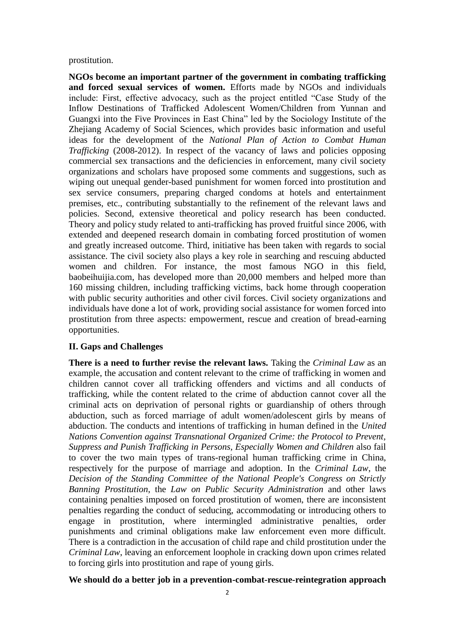prostitution.

**NGOs become an important partner of the government in combating trafficking and forced sexual services of women.** Efforts made by NGOs and individuals include: First, effective advocacy, such as the project entitled "Case Study of the Inflow Destinations of Trafficked Adolescent Women/Children from Yunnan and Guangxi into the Five Provinces in East China" led by the Sociology Institute of the Zhejiang Academy of Social Sciences, which provides basic information and useful ideas for the development of the *National Plan of Action to Combat Human Trafficking* (2008-2012). In respect of the vacancy of laws and policies opposing commercial sex transactions and the deficiencies in enforcement, many civil society organizations and scholars have proposed some comments and suggestions, such as wiping out unequal gender-based punishment for women forced into prostitution and sex service consumers, preparing charged condoms at hotels and entertainment premises, etc., contributing substantially to the refinement of the relevant laws and policies. Second, extensive theoretical and policy research has been conducted. Theory and policy study related to anti-trafficking has proved fruitful since 2006, with extended and deepened research domain in combating forced prostitution of women and greatly increased outcome. Third, initiative has been taken with regards to social assistance. The civil society also plays a key role in searching and rescuing abducted women and children. For instance, the most famous NGO in this field, baobeihuijia.com, has developed more than 20,000 members and helped more than 160 missing children, including trafficking victims, back home through cooperation with public security authorities and other civil forces. Civil society organizations and individuals have done a lot of work, providing social assistance for women forced into prostitution from three aspects: empowerment, rescue and creation of bread-earning opportunities.

#### **II. Gaps and Challenges**

**There is a need to further revise the relevant laws.** Taking the *Criminal Law* as an example, the accusation and content relevant to the crime of trafficking in women and children cannot cover all trafficking offenders and victims and all conducts of trafficking, while the content related to the crime of abduction cannot cover all the criminal acts on deprivation of personal rights or guardianship of others through abduction, such as forced marriage of adult women/adolescent girls by means of abduction. The conducts and intentions of trafficking in human defined in the *United Nations Convention against Transnational Organized Crime: the Protocol to Prevent, Suppress and Punish Trafficking in Persons, Especially Women and Children* also fail to cover the two main types of trans-regional human trafficking crime in China, respectively for the purpose of marriage and adoption. In the *Criminal Law*, the *Decision of the Standing Committee of the National People's Congress on Strictly Banning Prostitution*, the *Law on Public Security Administration* and other laws containing penalties imposed on forced prostitution of women, there are inconsistent penalties regarding the conduct of seducing, accommodating or introducing others to engage in prostitution, where intermingled administrative penalties, order punishments and criminal obligations make law enforcement even more difficult. There is a contradiction in the accusation of child rape and child prostitution under the *Criminal Law*, leaving an enforcement loophole in cracking down upon crimes related to forcing girls into prostitution and rape of young girls.

#### **We should do a better job in a prevention-combat-rescue-reintegration approach**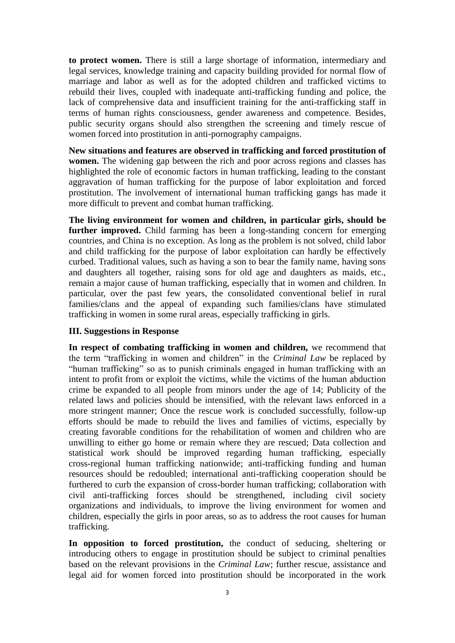**to protect women.** There is still a large shortage of information, intermediary and legal services, knowledge training and capacity building provided for normal flow of marriage and labor as well as for the adopted children and trafficked victims to rebuild their lives, coupled with inadequate anti-trafficking funding and police, the lack of comprehensive data and insufficient training for the anti-trafficking staff in terms of human rights consciousness, gender awareness and competence. Besides, public security organs should also strengthen the screening and timely rescue of women forced into prostitution in anti-pornography campaigns.

**New situations and features are observed in trafficking and forced prostitution of women.** The widening gap between the rich and poor across regions and classes has highlighted the role of economic factors in human trafficking, leading to the constant aggravation of human trafficking for the purpose of labor exploitation and forced prostitution. The involvement of international human trafficking gangs has made it more difficult to prevent and combat human trafficking.

**The living environment for women and children, in particular girls, should be further improved.** Child farming has been a long-standing concern for emerging countries, and China is no exception. As long as the problem is not solved, child labor and child trafficking for the purpose of labor exploitation can hardly be effectively curbed. Traditional values, such as having a son to bear the family name, having sons and daughters all together, raising sons for old age and daughters as maids, etc., remain a major cause of human trafficking, especially that in women and children. In particular, over the past few years, the consolidated conventional belief in rural families/clans and the appeal of expanding such families/clans have stimulated trafficking in women in some rural areas, especially trafficking in girls.

#### **III. Suggestions in Response**

**In respect of combating trafficking in women and children,** we recommend that the term "trafficking in women and children" in the *Criminal Law* be replaced by "human trafficking" so as to punish criminals engaged in human trafficking with an intent to profit from or exploit the victims, while the victims of the human abduction crime be expanded to all people from minors under the age of 14; Publicity of the related laws and policies should be intensified, with the relevant laws enforced in a more stringent manner; Once the rescue work is concluded successfully, follow-up efforts should be made to rebuild the lives and families of victims, especially by creating favorable conditions for the rehabilitation of women and children who are unwilling to either go home or remain where they are rescued; Data collection and statistical work should be improved regarding human trafficking, especially cross-regional human trafficking nationwide; anti-trafficking funding and human resources should be redoubled; international anti-trafficking cooperation should be furthered to curb the expansion of cross-border human trafficking; collaboration with civil anti-trafficking forces should be strengthened, including civil society organizations and individuals, to improve the living environment for women and children, especially the girls in poor areas, so as to address the root causes for human trafficking.

**In opposition to forced prostitution,** the conduct of seducing, sheltering or introducing others to engage in prostitution should be subject to criminal penalties based on the relevant provisions in the *Criminal Law*; further rescue, assistance and legal aid for women forced into prostitution should be incorporated in the work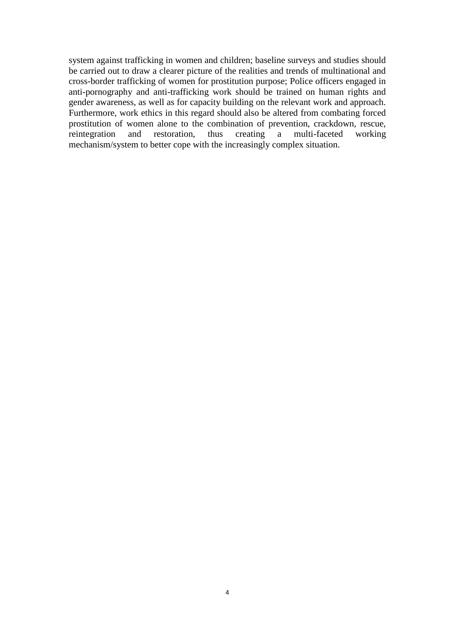system against trafficking in women and children; baseline surveys and studies should be carried out to draw a clearer picture of the realities and trends of multinational and cross-border trafficking of women for prostitution purpose; Police officers engaged in anti-pornography and anti-trafficking work should be trained on human rights and gender awareness, as well as for capacity building on the relevant work and approach. Furthermore, work ethics in this regard should also be altered from combating forced prostitution of women alone to the combination of prevention, crackdown, rescue, reintegration and restoration, thus creating a multi-faceted working mechanism/system to better cope with the increasingly complex situation.